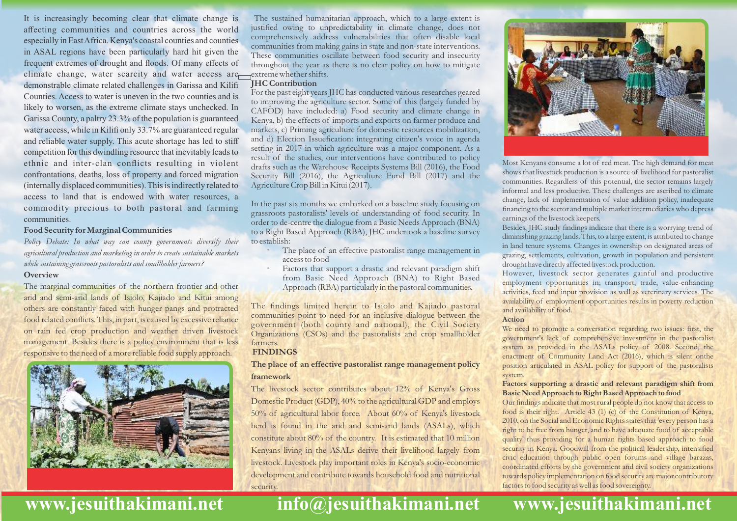It is increasingly becoming clear that climate change is affecting communities and countries across the world especially in East Africa. Kenya's coastal counties and counties in ASAL regions have been particularly hard hit given the frequent extremes of drought and floods. Of many effects of climate change, water scarcity and water access are demonstrable climate related challenges in Garissa and Kilifi Counties. Access to water is uneven in the two counties and is likely to worsen, as the extreme climate stays unchecked. In Garissa County, a paltry 23.3% of the population is guaranteed water access, while in Kilifi only 33.7% are guaranteed regular and reliable water supply. This acute shortage has led to stiff competition for this dwindling resource that inevitably leads to ethnic and inter-clan conflicts resulting in violent confrontations, deaths, loss of property and forced migration (internally displaced communities). This is indirectly related to access to land that is endowed with water resources, a commodity precious to both pastoral and farming communities.

#### **Food Security for Marginal Communities**

*Policy Debate: In what way can county governments diversify their agricultural production and marketing in order to create sustainable markets while sustaining grassroots pastoralists and smallholder farmers?*

#### **Overview**

The marginal communities of the northern frontier and other arid and semi-arid lands of Isiolo, Kajiado and Kitui among others are constantly faced with hunger pangs and protracted food related conflicts. This, in part, is caused by excessive reliance on rain fed crop production and weather driven livestock management. Besides there is a policy environment that is less responsive to the need of a more reliable food supply approach.



The sustained humanitarian approach, which to a large extent is justified owing to unpredictability in climate change, does not comprehensively address vulnerabilities that often disable local communities from making gains in state and non-state interventions. These communities oscillate between food security and insecurity throughout the year as there is no clear policy on how to mitigate extreme whether shifts.

#### **JHC Contribution**

For the past eight years JHC has conducted various researches geared to improving the agriculture sector. Some of this (largely funded by CAFOD) have included: a) Food security and climate change in Kenya, b) the effects of imports and exports on farmer produce and markets, c) Priming agriculture for domestic resources mobilization, and d) Election Issuefication: integrating citizen's voice in agenda setting in 2017 in which agriculture was a major component. As a result of the studies, our interventions have contributed to policy drafts such as the Warehouse Receipts Systems Bill (2016), the Food Security Bill (2016), the Agriculture Fund Bill (2017) and the Agriculture Crop Bill in Kitui (2017).

In the past six months we embarked on a baseline study focusing on grassroots pastoralists' levels of understanding of food security. In order to de-centre the dialogue from a Basic Needs Approach (BNA) to a Right Based Approach (RBA), JHC undertook a baseline survey to establish:

- The place of an effective pastoralist range management in access to food
- Factors that support a drastic and relevant paradigm shift from Basic Need Approach (BNA) to Right Based Approach (RBA) particularly in the pastoral communities.

The findings limited herein to Isiolo and Kajiado pastoral communities point to need for an inclusive dialogue between the government (both county and national), the Civil Society Organizations (CSOs) and the pastoralists and crop smallholder farmers.

## **FINDINGS**

## **The place of an effective pastoralist range management policy framework**

The livestock sector contributes about 12% of Kenya's Gross Domestic Product (GDP), 40% to the agricultural GDP and employs 50% of agricultural labor force. About 60% of Kenya's livestock herd is found in the arid and semi-arid lands (ASALs), which constitute about 80% of the country. It is estimated that 10 million Kenyans living in the ASALs derive their livelihood largely from livestock. Livestock play important roles in Kenya's socio-economic development and contribute towards household food and nutritional security.





Most Kenyans consume a lot of red meat. The high demand for meat shows that livestock production is a source of livelihood for pastoralist communities. Regardless of this potential, the sector remains largely informal and less productive. These challenges are ascribed to climate change, lack of implementation of value addition policy, inadequate financing to the sector and multiple market intermediaries who depress earnings of the livestock keepers.

Besides, JHC study findings indicate that there is a worrying trend of diminishing grazing lands. This, to a large extent, is attributed to change in land tenure systems. Changes in ownership on designated areas of grazing, settlements, cultivation, growth in population and persistent drought have directly affected livestock production.

However, livestock sector generates gainful and productive employment opportunities in; transport, trade, value-enhancing activities, feed and input provision as well as veterinary services. The availability of employment opportunities results in poverty reduction and availability of food.

#### **Action**

We need to promote a conversation regarding two issues: first, the government's lack of comprehensive investment in the pastoralist system as provided in the ASALs policy of 2008. Second, the enactment of Community Land Act (2016), which is silent onthe position articulated in ASAL policy for support of the pastoralists system.

#### **Factors supporting a drastic and relevant paradigm shift from Basic Need Approach to Right Based Approach to food**

Our findings indicate that most rural people do not know that access to food is their right. Article 43 (1) (c) of the Constitution of Kenya, 2010, on the Social and Economic Rights states that 'every person has a right to be free from hunger, and to have adequate food of acceptable quality' thus providing for a human rights based approach to food security in Kenya. Goodwill from the political leadership, intensified civic education through public open forums and village barazas, coordinated efforts by the government and civil society organizations towards policy implementation on food security are major contributory factors to food security as well as food sovereignty.